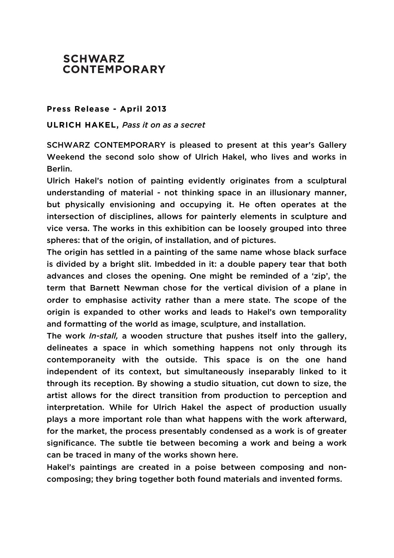## **SCHWARZ CONTEMPORARY**

## **Press Release - April 2013**

## **ULRICH HAKEL,** *Pass it on as a secret*

SCHWARZ CONTEMPORARY is pleased to present at this year's Gallery Weekend the second solo show of Ulrich Hakel, who lives and works in Berlin.

Ulrich Hakel's notion of painting evidently originates from a sculptural understanding of material - not thinking space in an illusionary manner, but physically envisioning and occupying it. He often operates at the intersection of disciplines, allows for painterly elements in sculpture and vice versa. The works in this exhibition can be loosely grouped into three spheres: that of the origin, of installation, and of pictures.

The origin has settled in a painting of the same name whose black surface is divided by a bright slit. Imbedded in it: a double papery tear that both advances and closes the opening. One might be reminded of a 'zip', the term that Barnett Newman chose for the vertical division of a plane in order to emphasise activity rather than a mere state. The scope of the origin is expanded to other works and leads to Hakel's own temporality and formatting of the world as image, sculpture, and installation.

The work *In-stall,* a wooden structure that pushes itself into the gallery, delineates a space in which something happens not only through its contemporaneity with the outside. This space is on the one hand independent of its context, but simultaneously inseparably linked to it through its reception. By showing a studio situation, cut down to size, the artist allows for the direct transition from production to perception and interpretation. While for Ulrich Hakel the aspect of production usually plays a more important role than what happens with the work afterward, for the market, the process presentably condensed as a work is of greater significance. The subtle tie between becoming a work and being a work can be traced in many of the works shown here.

Hakel's paintings are created in a poise between composing and noncomposing; they bring together both found materials and invented forms.